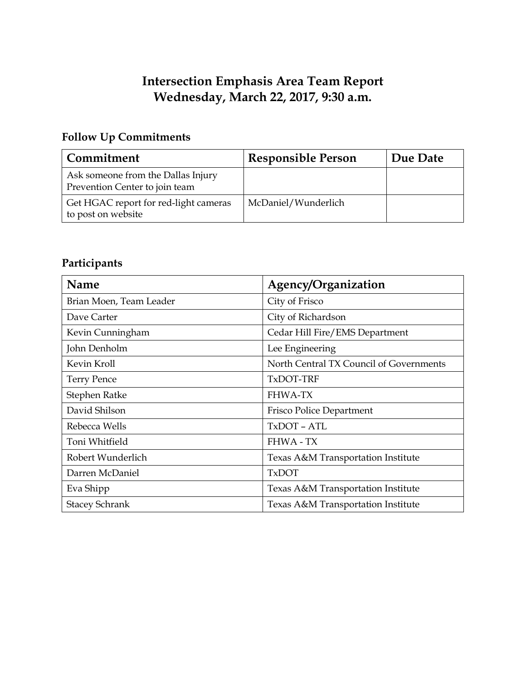# **Intersection Emphasis Area Team Report Wednesday, March 22, 2017, 9:30 a.m.**

# **Follow Up Commitments**

| Commitment                                                           | <b>Responsible Person</b> | Due Date |
|----------------------------------------------------------------------|---------------------------|----------|
| Ask someone from the Dallas Injury<br>Prevention Center to join team |                           |          |
| Get HGAC report for red-light cameras<br>to post on website          | McDaniel/Wunderlich       |          |

# **Participants**

| Name                    | Agency/Organization                     |  |
|-------------------------|-----------------------------------------|--|
| Brian Moen, Team Leader | City of Frisco                          |  |
| Dave Carter             | City of Richardson                      |  |
| Kevin Cunningham        | Cedar Hill Fire/EMS Department          |  |
| John Denholm            | Lee Engineering                         |  |
| Kevin Kroll             | North Central TX Council of Governments |  |
| <b>Terry Pence</b>      | TxDOT-TRF                               |  |
| Stephen Ratke           | <b>FHWA-TX</b>                          |  |
| David Shilson           | Frisco Police Department                |  |
| Rebecca Wells           | TxDOT - ATL                             |  |
| Toni Whitfield          | <b>FHWA - TX</b>                        |  |
| Robert Wunderlich       | Texas A&M Transportation Institute      |  |
| Darren McDaniel         | <b>TxDOT</b>                            |  |
| Eva Shipp               | Texas A&M Transportation Institute      |  |
| <b>Stacey Schrank</b>   | Texas A&M Transportation Institute      |  |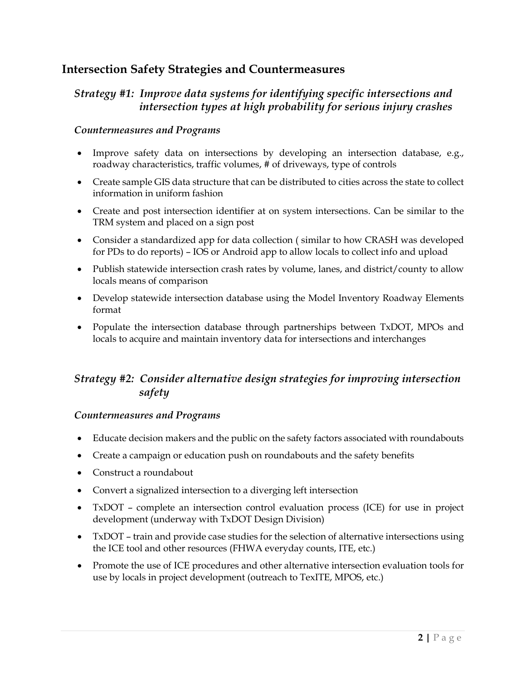# **Intersection Safety Strategies and Countermeasures**

### *Strategy #1: Improve data systems for identifying specific intersections and intersection types at high probability for serious injury crashes*

#### *Countermeasures and Programs*

- Improve safety data on intersections by developing an intersection database, e.g., roadway characteristics, traffic volumes, # of driveways, type of controls
- Create sample GIS data structure that can be distributed to cities across the state to collect information in uniform fashion
- Create and post intersection identifier at on system intersections. Can be similar to the TRM system and placed on a sign post
- Consider a standardized app for data collection ( similar to how CRASH was developed for PDs to do reports) – IOS or Android app to allow locals to collect info and upload
- Publish statewide intersection crash rates by volume, lanes, and district/county to allow locals means of comparison
- Develop statewide intersection database using the Model Inventory Roadway Elements format
- Populate the intersection database through partnerships between TxDOT, MPOs and locals to acquire and maintain inventory data for intersections and interchanges

### *Strategy #2: Consider alternative design strategies for improving intersection safety*

#### *Countermeasures and Programs*

- Educate decision makers and the public on the safety factors associated with roundabouts
- Create a campaign or education push on roundabouts and the safety benefits
- Construct a roundabout
- Convert a signalized intersection to a diverging left intersection
- TxDOT complete an intersection control evaluation process (ICE) for use in project development (underway with TxDOT Design Division)
- TxDOT train and provide case studies for the selection of alternative intersections using the ICE tool and other resources (FHWA everyday counts, ITE, etc.)
- Promote the use of ICE procedures and other alternative intersection evaluation tools for use by locals in project development (outreach to TexITE, MPOS, etc.)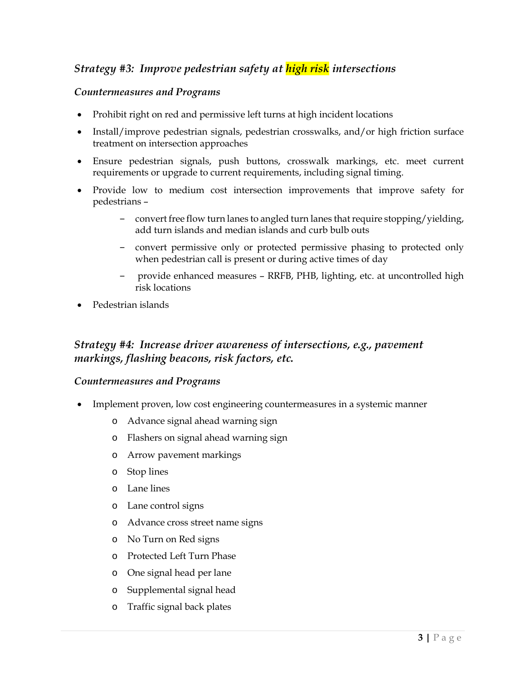# *Strategy #3: Improve pedestrian safety at high risk intersections*

#### *Countermeasures and Programs*

- Prohibit right on red and permissive left turns at high incident locations
- Install/improve pedestrian signals, pedestrian crosswalks, and/or high friction surface treatment on intersection approaches
- Ensure pedestrian signals, push buttons, crosswalk markings, etc. meet current requirements or upgrade to current requirements, including signal timing.
- Provide low to medium cost intersection improvements that improve safety for pedestrians –
	- convert free flow turn lanes to angled turn lanes that require stopping/yielding, add turn islands and median islands and curb bulb outs
	- ‒ convert permissive only or protected permissive phasing to protected only when pedestrian call is present or during active times of day
	- ‒ provide enhanced measures RRFB, PHB, lighting, etc. at uncontrolled high risk locations
- Pedestrian islands

### *Strategy #4: Increase driver awareness of intersections, e.g., pavement markings, flashing beacons, risk factors, etc.*

#### *Countermeasures and Programs*

- Implement proven, low cost engineering countermeasures in a systemic manner
	- o Advance signal ahead warning sign
	- o Flashers on signal ahead warning sign
	- o Arrow pavement markings
	- o Stop lines
	- o Lane lines
	- o Lane control signs
	- o Advance cross street name signs
	- o No Turn on Red signs
	- o Protected Left Turn Phase
	- o One signal head per lane
	- o Supplemental signal head
	- o Traffic signal back plates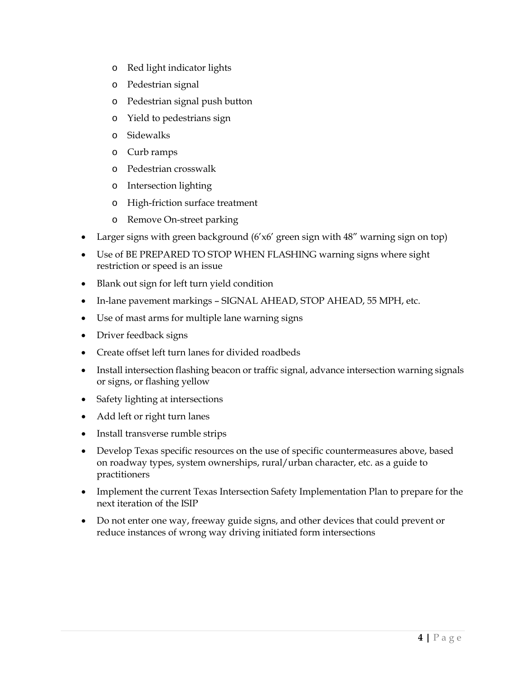- o Red light indicator lights
- o Pedestrian signal
- o Pedestrian signal push button
- o Yield to pedestrians sign
- o Sidewalks
- o Curb ramps
- o Pedestrian crosswalk
- o Intersection lighting
- o High-friction surface treatment
- o Remove On-street parking
- Larger signs with green background (6'x6' green sign with 48" warning sign on top)
- Use of BE PREPARED TO STOP WHEN FLASHING warning signs where sight restriction or speed is an issue
- Blank out sign for left turn yield condition
- In-lane pavement markings SIGNAL AHEAD, STOP AHEAD, 55 MPH, etc.
- Use of mast arms for multiple lane warning signs
- Driver feedback signs
- Create offset left turn lanes for divided roadbeds
- Install intersection flashing beacon or traffic signal, advance intersection warning signals or signs, or flashing yellow
- Safety lighting at intersections
- Add left or right turn lanes
- Install transverse rumble strips
- Develop Texas specific resources on the use of specific countermeasures above, based on roadway types, system ownerships, rural/urban character, etc. as a guide to practitioners
- Implement the current Texas Intersection Safety Implementation Plan to prepare for the next iteration of the ISIP
- Do not enter one way, freeway guide signs, and other devices that could prevent or reduce instances of wrong way driving initiated form intersections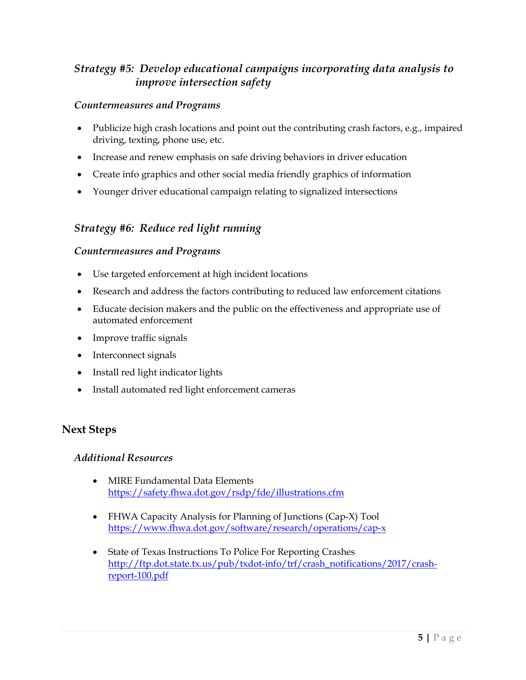# *Strategy #5: Develop educational campaigns incorporating data analysis to improve intersection safety*

#### *Countermeasures and Programs*

- Publicize high crash locations and point out the contributing crash factors, e.g., impaired driving, texting, phone use, etc.
- Increase and renew emphasis on safe driving behaviors in driver education
- Create info graphics and other social media friendly graphics of information
- Younger driver educational campaign relating to signalized intersections

# *Strategy #6: Reduce red light running*

#### *Countermeasures and Programs*

- Use targeted enforcement at high incident locations
- Research and address the factors contributing to reduced law enforcement citations
- Educate decision makers and the public on the effectiveness and appropriate use of automated enforcement
- Improve traffic signals
- Interconnect signals
- Install red light indicator lights
- Install automated red light enforcement cameras

### **Next Steps**

### *Additional Resources*

- MIRE Fundamental Data Elements <https://safety.fhwa.dot.gov/rsdp/fde/illustrations.cfm>
- FHWA Capacity Analysis for Planning of Junctions (Cap-X) Tool <https://www.fhwa.dot.gov/software/research/operations/cap-x>
- State of Texas Instructions To Police For Reporting Crashes [http://ftp.dot.state.tx.us/pub/txdot-info/trf/crash\\_notifications/2017/crash](http://ftp.dot.state.tx.us/pub/txdot-info/trf/crash_notifications/2017/crash-report-100.pdf)[report-100.pdf](http://ftp.dot.state.tx.us/pub/txdot-info/trf/crash_notifications/2017/crash-report-100.pdf)